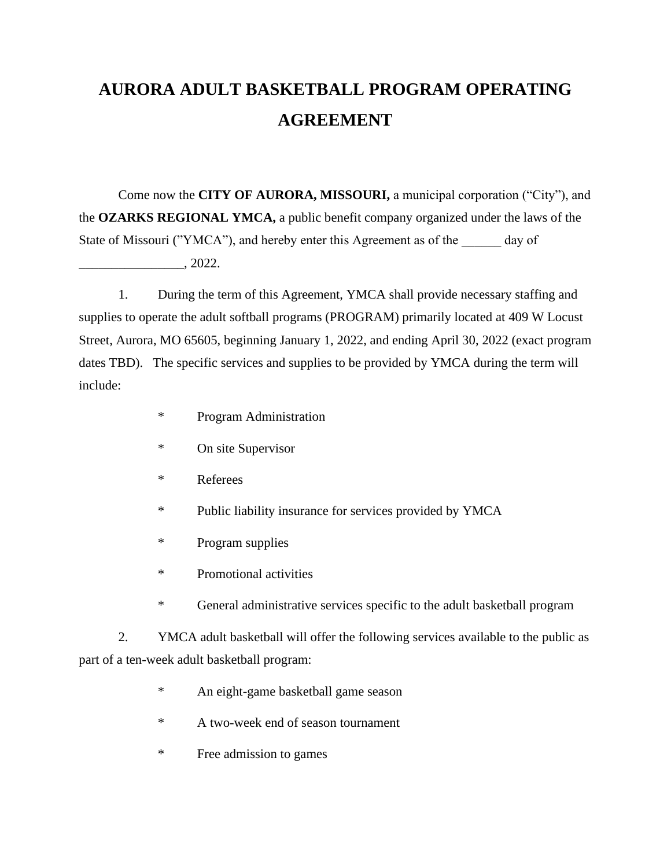## **AURORA ADULT BASKETBALL PROGRAM OPERATING AGREEMENT**

Come now the **CITY OF AURORA, MISSOURI,** a municipal corporation ("City"), and the **OZARKS REGIONAL YMCA,** a public benefit company organized under the laws of the State of Missouri ("YMCA"), and hereby enter this Agreement as of the day of  $\frac{1}{2022}$ .

1. During the term of this Agreement, YMCA shall provide necessary staffing and supplies to operate the adult softball programs (PROGRAM) primarily located at 409 W Locust Street, Aurora, MO 65605, beginning January 1, 2022, and ending April 30, 2022 (exact program dates TBD). The specific services and supplies to be provided by YMCA during the term will include:

- \* Program Administration
- \* On site Supervisor
- \* Referees
- \* Public liability insurance for services provided by YMCA
- \* Program supplies
- \* Promotional activities
- \* General administrative services specific to the adult basketball program

2. YMCA adult basketball will offer the following services available to the public as part of a ten-week adult basketball program:

- \* An eight-game basketball game season
- \* A two-week end of season tournament
- \* Free admission to games